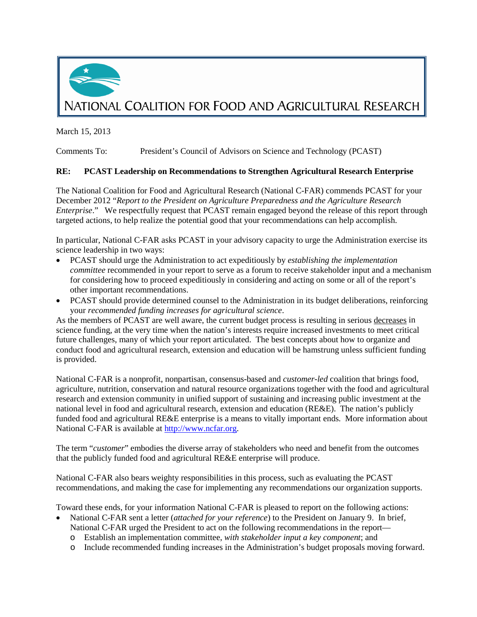

March 15, 2013

Comments To: President's Council of Advisors on Science and Technology (PCAST)

## **RE: PCAST Leadership on Recommendations to Strengthen Agricultural Research Enterprise**

The National Coalition for Food and Agricultural Research (National C-FAR) commends PCAST for your December 2012 "*Report to the President on Agriculture Preparedness and the Agriculture Research Enterprise*." We respectfully request that PCAST remain engaged beyond the release of this report through targeted actions, to help realize the potential good that your recommendations can help accomplish.

In particular, National C-FAR asks PCAST in your advisory capacity to urge the Administration exercise its science leadership in two ways:

- PCAST should urge the Administration to act expeditiously by *establishing the implementation committee* recommended in your report to serve as a forum to receive stakeholder input and a mechanism for considering how to proceed expeditiously in considering and acting on some or all of the report's other important recommendations.
- PCAST should provide determined counsel to the Administration in its budget deliberations, reinforcing your *recommended funding increases for agricultural science*.

As the members of PCAST are well aware, the current budget process is resulting in serious decreases in science funding, at the very time when the nation's interests require increased investments to meet critical future challenges, many of which your report articulated. The best concepts about how to organize and conduct food and agricultural research, extension and education will be hamstrung unless sufficient funding is provided.

National C-FAR is a nonprofit, nonpartisan, consensus-based and *customer-led* coalition that brings food, agriculture, nutrition, conservation and natural resource organizations together with the food and agricultural research and extension community in unified support of sustaining and increasing public investment at the national level in food and agricultural research, extension and education (RE&E). The nation's publicly funded food and agricultural RE&E enterprise is a means to vitally important ends. More information about National C-FAR is available at [http://www.ncfar.org.](http://www.ncfar.org/)

The term "*customer*" embodies the diverse array of stakeholders who need and benefit from the outcomes that the publicly funded food and agricultural RE&E enterprise will produce.

National C-FAR also bears weighty responsibilities in this process, such as evaluating the PCAST recommendations, and making the case for implementing any recommendations our organization supports.

Toward these ends, for your information National C-FAR is pleased to report on the following actions:

- National C-FAR sent a letter (*attached for your reference*) to the President on January 9. In brief, National C-FAR urged the President to act on the following recommendations in the report
	- o Establish an implementation committee, *with stakeholder input a key component*; and
	- o Include recommended funding increases in the Administration's budget proposals moving forward.